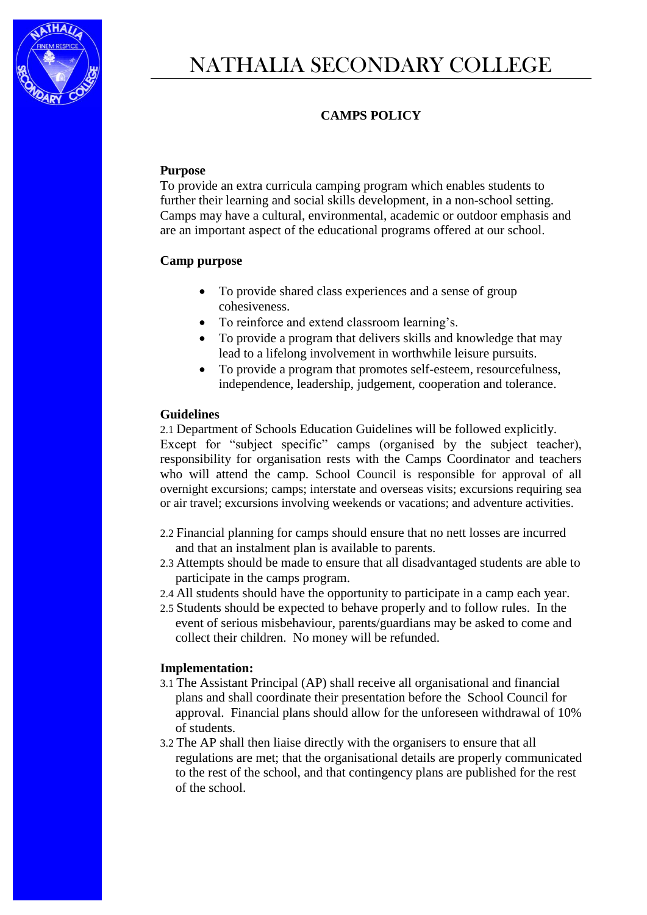

# NATHALIA SECONDARY COLLEGE

# **CAMPS POLICY**

## **Purpose**

To provide an extra curricula camping program which enables students to further their learning and social skills development, in a non-school setting. Camps may have a cultural, environmental, academic or outdoor emphasis and are an important aspect of the educational programs offered at our school.

## **Camp purpose**

- To provide shared class experiences and a sense of group cohesiveness.
- To reinforce and extend classroom learning's.
- To provide a program that delivers skills and knowledge that may lead to a lifelong involvement in worthwhile leisure pursuits.
- To provide a program that promotes self-esteem, resourcefulness, independence, leadership, judgement, cooperation and tolerance.

#### **Guidelines**

2.1 Department of Schools Education Guidelines will be followed explicitly. Except for "subject specific" camps (organised by the subject teacher), responsibility for organisation rests with the Camps Coordinator and teachers who will attend the camp. School Council is responsible for approval of all overnight excursions; camps; interstate and overseas visits; excursions requiring sea or air travel; excursions involving weekends or vacations; and adventure activities.

- 2.2 Financial planning for camps should ensure that no nett losses are incurred and that an instalment plan is available to parents.
- 2.3 Attempts should be made to ensure that all disadvantaged students are able to participate in the camps program.
- 2.4 All students should have the opportunity to participate in a camp each year.
- 2.5 Students should be expected to behave properly and to follow rules. In the event of serious misbehaviour, parents/guardians may be asked to come and collect their children. No money will be refunded.

#### **Implementation:**

- 3.1 The Assistant Principal (AP) shall receive all organisational and financial plans and shall coordinate their presentation before the School Council for approval. Financial plans should allow for the unforeseen withdrawal of 10% of students.
- 3.2 The AP shall then liaise directly with the organisers to ensure that all regulations are met; that the organisational details are properly communicated to the rest of the school, and that contingency plans are published for the rest of the school.